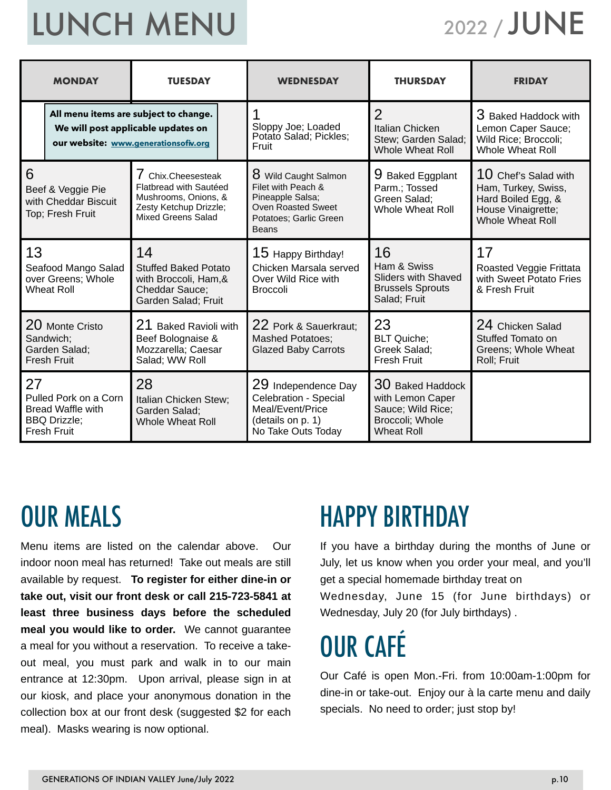# LUNCH MENU

### 2022 / JUNE

| <b>MONDAY</b><br><b>TUESDAY</b>                                                                                     |                                                                                                                                                                      | <b>WEDNESDAY</b>                                                                                                                      | <b>THURSDAY</b>                                                                            | <b>FRIDAY</b>                                                                                                        |
|---------------------------------------------------------------------------------------------------------------------|----------------------------------------------------------------------------------------------------------------------------------------------------------------------|---------------------------------------------------------------------------------------------------------------------------------------|--------------------------------------------------------------------------------------------|----------------------------------------------------------------------------------------------------------------------|
| All menu items are subject to change.<br>We will post applicable updates on<br>our website: www.generationsofiv.org |                                                                                                                                                                      | Sloppy Joe; Loaded<br>Potato Salad; Pickles;<br>Fruit                                                                                 | $\overline{2}$<br>Italian Chicken<br>Stew; Garden Salad;<br><b>Whole Wheat Roll</b>        | 3 Baked Haddock with<br>Lemon Caper Sauce;<br>Wild Rice; Broccoli;<br><b>Whole Wheat Roll</b>                        |
| 6<br>Beef & Veggie Pie<br>with Cheddar Biscuit<br>Top; Fresh Fruit                                                  | 7 Chix.Cheesesteak<br>Flatbread with Sautéed<br>Mushrooms, Onions, &<br>Zesty Ketchup Drizzle;<br>Mixed Greens Salad                                                 | 8 Wild Caught Salmon<br>Filet with Peach &<br>Pineapple Salsa;<br><b>Oven Roasted Sweet</b><br>Potatoes: Garlic Green<br><b>Beans</b> | 9.<br><b>Baked Eggplant</b><br>Parm.; Tossed<br>Green Salad:<br><b>Whole Wheat Roll</b>    | $10$ Chef's Salad with<br>Ham, Turkey, Swiss,<br>Hard Boiled Egg, &<br>House Vinaigrette;<br><b>Whole Wheat Roll</b> |
| 13<br>Seafood Mango Salad<br>over Greens; Whole<br><b>Wheat Roll</b>                                                | 14<br><b>Stuffed Baked Potato</b><br>with Broccoli, Ham, &<br>Cheddar Sauce;<br>Garden Salad; Fruit                                                                  |                                                                                                                                       | 16<br>Ham & Swiss<br><b>Sliders with Shaved</b><br><b>Brussels Sprouts</b><br>Salad; Fruit | 17<br>Roasted Veggie Frittata<br>with Sweet Potato Fries<br>& Fresh Fruit                                            |
| 20 Monte Cristo<br>Sandwich:<br>Garden Salad;<br><b>Fresh Fruit</b>                                                 | 21 Baked Ravioli with<br>22 Pork & Sauerkraut;<br>Beef Bolognaise &<br><b>Mashed Potatoes;</b><br>Mozzarella; Caesar<br><b>Glazed Baby Carrots</b><br>Salad; WW Roll |                                                                                                                                       | 23<br><b>BLT Quiche;</b><br>Greek Salad:<br><b>Fresh Fruit</b>                             | 24 Chicken Salad<br>Stuffed Tomato on<br>Greens; Whole Wheat<br>Roll; Fruit                                          |
| 27<br>Pulled Pork on a Corn<br><b>Bread Waffle with</b><br><b>BBQ Drizzle;</b><br><b>Fresh Fruit</b>                | 28<br>Italian Chicken Stew;<br>Garden Salad;<br><b>Whole Wheat Roll</b>                                                                                              |                                                                                                                                       | 30 Baked Haddock<br>with Lemon Caper<br>Sauce; Wild Rice;<br>Broccoli; Whole<br>Wheat Roll |                                                                                                                      |

### OUR MEALS

Menu items are listed on the calendar above. Our indoor noon meal has returned! Take out meals are still available by request. **To register for either dine-in or take out, visit our front desk or call 215-723-5841 at least three business days before the scheduled meal you would like to order.** We cannot guarantee a meal for you without a reservation. To receive a takeout meal, you must park and walk in to our main entrance at 12:30pm. Upon arrival, please sign in at our kiosk, and place your anonymous donation in the collection box at our front desk (suggested \$2 for each meal). Masks wearing is now optional.

### HAPPY BIRTHDAY

If you have a birthday during the months of June or July, let us know when you order your meal, and you'll get a special homemade birthday treat on Wednesday, June 15 (for June birthdays) or Wednesday, July 20 (for July birthdays) .

## OUR CAFÉ

Our Café is open Mon.-Fri. from 10:00am-1:00pm for dine-in or take-out. Enjoy our à la carte menu and daily specials. No need to order; just stop by!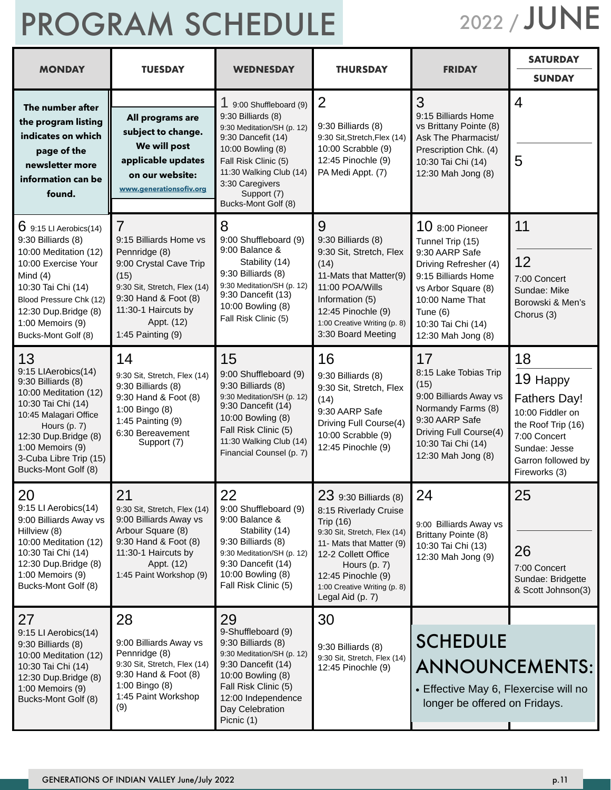# PROGRAM SCHEDULE

2022 / JUNE

| <b>MONDAY</b>                                                                                                                                                                                                                        | <b>TUESDAY</b>                                                                                                                                                                                                | <b>WEDNESDAY</b>                                                                                                                                                                                                                   | <b>THURSDAY</b>                                                                                                                                                                                                                                   | <b>FRIDAY</b>                                                                                                                                                                                           | <b>SATURDAY</b><br><b>SUNDAY</b>                                                                                                                        |
|--------------------------------------------------------------------------------------------------------------------------------------------------------------------------------------------------------------------------------------|---------------------------------------------------------------------------------------------------------------------------------------------------------------------------------------------------------------|------------------------------------------------------------------------------------------------------------------------------------------------------------------------------------------------------------------------------------|---------------------------------------------------------------------------------------------------------------------------------------------------------------------------------------------------------------------------------------------------|---------------------------------------------------------------------------------------------------------------------------------------------------------------------------------------------------------|---------------------------------------------------------------------------------------------------------------------------------------------------------|
| The number after<br>the program listing<br>indicates on which<br>page of the<br>newsletter more<br>information can be<br>found.                                                                                                      | All programs are<br>subject to change.<br>We will post<br>applicable updates<br>on our website:<br>www.generationsofiv.org                                                                                    | 1 9:00 Shuffleboard (9)<br>9:30 Billiards (8)<br>9:30 Meditation/SH (p. 12)<br>9:30 Dancefit (14)<br>10:00 Bowling (8)<br>Fall Risk Clinic (5)<br>11:30 Walking Club (14)<br>3:30 Caregivers<br>Support (7)<br>Bucks-Mont Golf (8) | $\overline{2}$<br>9:30 Billiards (8)<br>9:30 Sit, Stretch, Flex (14)<br>10:00 Scrabble (9)<br>12:45 Pinochle (9)<br>PA Medi Appt. (7)                                                                                                             | 3<br>9:15 Billiards Home<br>vs Brittany Pointe (8)<br>Ask The Pharmacist/<br>Prescription Chk. (4)<br>10:30 Tai Chi (14)<br>12:30 Mah Jong (8)                                                          | 4<br>5                                                                                                                                                  |
| $6$ 9:15 LI Aerobics(14)<br>9:30 Billiards (8)<br>10:00 Meditation (12)<br>10:00 Exercise Your<br>Mind $(4)$<br>10:30 Tai Chi (14)<br>Blood Pressure Chk (12)<br>12:30 Dup.Bridge (8)<br>1:00 Memoirs (9)<br>Bucks-Mont Golf (8)     | $\overline{7}$<br>9:15 Billiards Home vs<br>Pennridge (8)<br>9:00 Crystal Cave Trip<br>(15)<br>9:30 Sit, Stretch, Flex (14)<br>9:30 Hand & Foot (8)<br>11:30-1 Haircuts by<br>Appt. (12)<br>1:45 Painting (9) | 8<br>9:00 Shuffleboard (9)<br>9:00 Balance &<br>Stability (14)<br>9:30 Billiards (8)<br>9:30 Meditation/SH (p. 12)<br>9:30 Dancefit (13)<br>10:00 Bowling (8)<br>Fall Risk Clinic (5)                                              | 9<br>9:30 Billiards (8)<br>9:30 Sit, Stretch, Flex<br>(14)<br>11-Mats that Matter(9)<br>11:00 POA/Wills<br>Information (5)<br>12:45 Pinochle (9)<br>1:00 Creative Writing (p. 8)<br>3:30 Board Meeting                                            | 10 8:00 Pioneer<br>Tunnel Trip (15)<br>9:30 AARP Safe<br>Driving Refresher (4)<br>9:15 Billiards Home<br>vs Arbor Square (8)<br>10:00 Name That<br>Tune (6)<br>10:30 Tai Chi (14)<br>12:30 Mah Jong (8) | 11<br>12<br>7:00 Concert<br>Sundae: Mike<br>Borowski & Men's<br>Chorus (3)                                                                              |
| 13<br>9:15 LIAerobics(14)<br>9:30 Billiards (8)<br>10:00 Meditation (12)<br>10:30 Tai Chi (14)<br>10:45 Malagari Office<br>Hours (p. 7)<br>12:30 Dup.Bridge (8)<br>1:00 Memoirs (9)<br>3-Cuba Libre Trip (15)<br>Bucks-Mont Golf (8) | 14<br>9:30 Sit, Stretch, Flex (14)<br>9:30 Billiards (8)<br>9:30 Hand & Foot (8)<br>1:00 Bingo (8)<br>1:45 Painting $(9)$<br>6:30 Bereavement<br>Support (7)                                                  | 15<br>9:00 Shuffleboard (9)<br>9:30 Billiards (8)<br>9:30 Meditation/SH (p. 12)<br>9:30 Dancefit (14)<br>10:00 Bowling (8)<br>Fall Risk Clinic (5)<br>11:30 Walking Club (14)<br>Financial Counsel (p. 7)                          | 16<br>9:30 Billiards (8)<br>9:30 Sit, Stretch, Flex<br>(14)<br>9:30 AARP Safe<br>Driving Full Course(4)<br>10:00 Scrabble (9)<br>12:45 Pinochle (9)                                                                                               | 17<br>8:15 Lake Tobias Trip<br>(15)<br>9:00 Billiards Away vs<br>Normandy Farms (8)<br>9:30 AARP Safe<br>Driving Full Course(4)<br>10:30 Tai Chi (14)<br>12:30 Mah Jong (8)                             | 18<br>19 Happy<br><b>Fathers Day!</b><br>10:00 Fiddler on<br>the Roof Trip (16)<br>7:00 Concert<br>Sundae: Jesse<br>Garron followed by<br>Fireworks (3) |
| 20<br>9:15 LI Aerobics(14)<br>9:00 Billiards Away vs<br>Hillview (8)<br>10:00 Meditation (12)<br>10:30 Tai Chi (14)<br>12:30 Dup.Bridge (8)<br>1:00 Memoirs (9)<br>Bucks-Mont Golf (8)                                               | 21<br>9:30 Sit, Stretch, Flex (14)<br>9:00 Billiards Away vs<br>Arbour Square (8)<br>9:30 Hand & Foot (8)<br>11:30-1 Haircuts by<br>Appt. (12)<br>1:45 Paint Workshop (9)                                     | 22<br>9:00 Shuffleboard (9)<br>9:00 Balance &<br>Stability (14)<br>9:30 Billiards (8)<br>9:30 Meditation/SH (p. 12)<br>9:30 Dancefit (14)<br>10:00 Bowling (8)<br>Fall Risk Clinic (5)                                             | 23 9:30 Billiards (8)<br>8:15 Riverlady Cruise<br><b>Trip (16)</b><br>9:30 Sit, Stretch, Flex (14)<br>11- Mats that Matter (9)<br>12-2 Collett Office<br>Hours $(p. 7)$<br>12:45 Pinochle (9)<br>1:00 Creative Writing (p. 8)<br>Legal Aid (p. 7) | 24<br>9:00 Billiards Away vs<br>Brittany Pointe (8)<br>10:30 Tai Chi (13)<br>12:30 Mah Jong (9)                                                                                                         | 25<br>26<br>7:00 Concert<br>Sundae: Bridgette<br>& Scott Johnson(3)                                                                                     |
| 27<br>9:15 LI Aerobics(14)<br>9:30 Billiards (8)<br>10:00 Meditation (12)<br>10:30 Tai Chi (14)<br>12:30 Dup.Bridge (8)<br>1:00 Memoirs (9)<br>Bucks-Mont Golf (8)                                                                   | 28<br>9:00 Billiards Away vs<br>Pennridge (8)<br>9:30 Sit, Stretch, Flex (14)<br>9:30 Hand & Foot (8)<br>1:00 Bingo (8)<br>1:45 Paint Workshop<br>(9)                                                         | 29<br>9-Shuffleboard (9)<br>9:30 Billiards (8)<br>9:30 Meditation/SH (p. 12)<br>9:30 Dancefit (14)<br>10:00 Bowling (8)<br>Fall Risk Clinic (5)<br>12:00 Independence<br>Day Celebration<br>Picnic (1)                             | 30<br>9:30 Billiards (8)<br>9:30 Sit, Stretch, Flex (14)<br>12:45 Pinochle (9)                                                                                                                                                                    | <b>SCHEDULE</b><br><b>ANNOUNCEMENTS:</b><br>• Effective May 6, Flexercise will no<br>longer be offered on Fridays.                                                                                      |                                                                                                                                                         |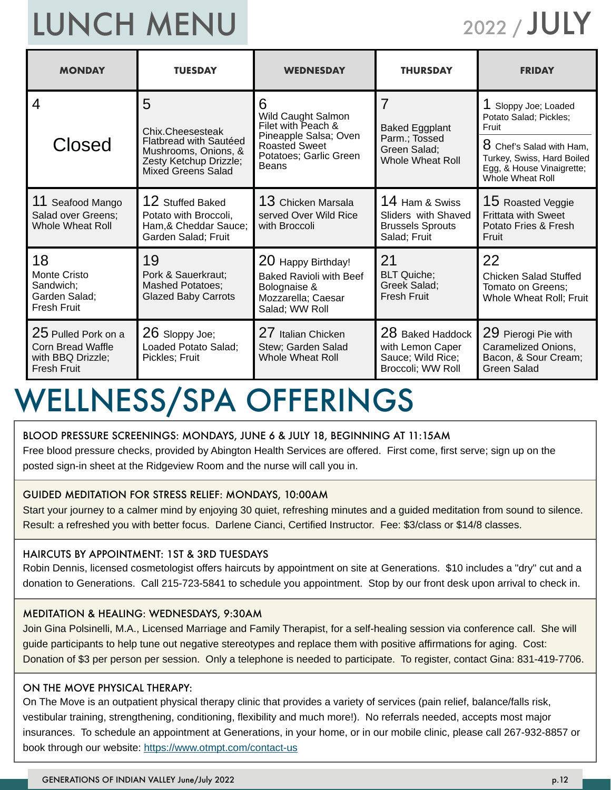# LUNCH MENU

2022 / JULY

| <b>MONDAY</b>                                                                              | <b>TUESDAY</b>                                                                                               | <b>WEDNESDAY</b>                                                                                                                               | <b>THURSDAY</b>                                                                  | <b>FRIDAY</b>                                                                                             |
|--------------------------------------------------------------------------------------------|--------------------------------------------------------------------------------------------------------------|------------------------------------------------------------------------------------------------------------------------------------------------|----------------------------------------------------------------------------------|-----------------------------------------------------------------------------------------------------------|
| 4                                                                                          | 5<br>6<br>Wild Caught Salmon<br>Filet with Peach &<br>Chix.Cheesesteak<br>Pineapple Salsa; Oven              |                                                                                                                                                | <b>Baked Eggplant</b><br>Parm.; Tossed                                           | Sloppy Joe; Loaded<br>Potato Salad; Pickles;<br>Fruit                                                     |
| Closed                                                                                     | <b>Flatbread with Sautéed</b><br>Mushrooms, Onions, &<br>Zesty Ketchup Drizzle;<br><b>Mixed Greens Salad</b> | <b>Roasted Sweet</b><br>Potatoes; Garlic Green<br>Beans                                                                                        | Green Salad;<br><b>Whole Wheat Roll</b>                                          | $8$ Chef's Salad with Ham,<br>Turkey, Swiss, Hard Boiled<br>Egg, & House Vinaigrette;<br>Whole Wheat Roll |
| 11 Seafood Mango<br>Salad over Greens;<br>Whole Wheat Roll                                 | 12 Stuffed Baked<br>Potato with Broccoli,<br>Ham, & Cheddar Sauce;<br>Garden Salad; Fruit                    | $13$ Chicken Marsala<br>served Over Wild Rice<br>with Broccoli                                                                                 | 14 Ham & Swiss<br>Sliders with Shaved<br><b>Brussels Sprouts</b><br>Salad; Fruit | $15$ Roasted Veggie<br><b>Frittata with Sweet</b><br>Potato Fries & Fresh<br>Fruit                        |
| 18<br>Monte Cristo<br>Sandwich:<br>Garden Salad;<br><b>Fresh Fruit</b>                     | 19<br>Pork & Sauerkraut;<br><b>Mashed Potatoes;</b><br><b>Glazed Baby Carrots</b>                            | 20 Happy Birthday!<br><b>Baked Ravioli with Beef</b><br>Bolognaise &<br>Mozzarella; Caesar<br>Salad; WW Roll                                   | 21<br><b>BLT Quiche;</b><br>Greek Salad;<br>Fresh Fruit                          | 22<br><b>Chicken Salad Stuffed</b><br>Tomato on Greens;<br>Whole Wheat Roll; Fruit                        |
| 25 Pulled Pork on a<br><b>Corn Bread Waffle</b><br>with BBQ Drizzle;<br><b>Fresh Fruit</b> | 26 Sloppy Joe;<br>Loaded Potato Salad;<br>Pickles; Fruit                                                     | 27 Italian Chicken<br>28 Baked Haddock<br>Stew; Garden Salad<br>with Lemon Caper<br>Sauce; Wild Rice;<br>Whole Wheat Roll<br>Broccoli; WW Roll |                                                                                  | 29 Pierogi Pie with<br>Caramelized Onions,<br>Bacon, & Sour Cream;<br>Green Salad                         |

### WELLNESS/SPA OFFERINGS

#### BLOOD PRESSURE SCREENINGS: MONDAYS, JUNE 6 & JULY 18, BEGINNING AT 11:15AM

Free blood pressure checks, provided by Abington Health Services are offered. First come, first serve; sign up on the posted sign-in sheet at the Ridgeview Room and the nurse will call you in.

#### GUIDED MEDITATION FOR STRESS RELIEF: MONDAYS, 10:00AM

Start your journey to a calmer mind by enjoying 30 quiet, refreshing minutes and a guided meditation from sound to silence. Result: a refreshed you with better focus. Darlene Cianci, Certified Instructor. Fee: \$3/class or \$14/8 classes.

#### HAIRCUTS BY APPOINTMENT: 1ST & 3RD TUESDAYS

Robin Dennis, licensed cosmetologist offers haircuts by appointment on site at Generations. \$10 includes a "dry" cut and a donation to Generations. Call 215-723-5841 to schedule you appointment. Stop by our front desk upon arrival to check in.

#### MEDITATION & HEALING: WEDNESDAYS, 9:30AM

Join Gina Polsinelli, M.A., Licensed Marriage and Family Therapist, for a self-healing session via conference call. She will guide participants to help tune out negative stereotypes and replace them with positive affirmations for aging. Cost: Donation of \$3 per person per session. Only a telephone is needed to participate. To register, contact Gina: 831-419-7706.

#### ON THE MOVE PHYSICAL THERAPY:

On The Move is an outpatient physical therapy clinic that provides a variety of services (pain relief, balance/falls risk, vestibular training, strengthening, conditioning, flexibility and much more!). No referrals needed, accepts most major insurances. To schedule an appointment at Generations, in your home, or in our mobile clinic, please call 267-932-8857 or book through our website: https://www.otmpt.com/contact-us